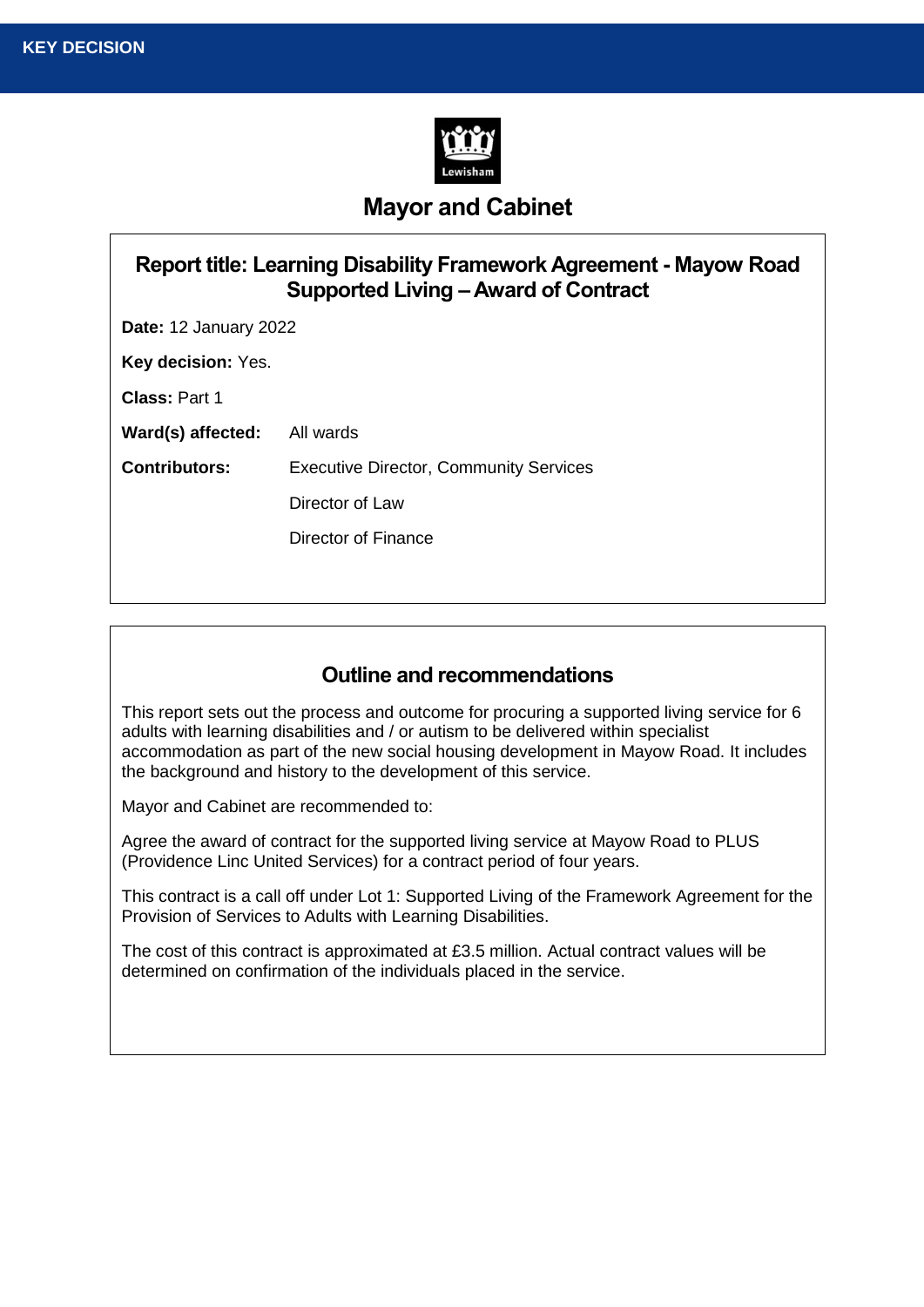

# **Mayor and Cabinet**

| Report title: Learning Disability Framework Agreement - Mayow Road<br>Supported Living – Award of Contract |                                               |  |  |
|------------------------------------------------------------------------------------------------------------|-----------------------------------------------|--|--|
| <b>Date: 12 January 2022</b>                                                                               |                                               |  |  |
| Key decision: Yes.                                                                                         |                                               |  |  |
| <b>Class: Part 1</b>                                                                                       |                                               |  |  |
| Ward(s) affected:                                                                                          | All wards                                     |  |  |
| <b>Contributors:</b>                                                                                       | <b>Executive Director, Community Services</b> |  |  |
|                                                                                                            | Director of Law                               |  |  |
|                                                                                                            | Director of Finance                           |  |  |
|                                                                                                            |                                               |  |  |

## **Outline and recommendations**

This report sets out the process and outcome for procuring a supported living service for 6 adults with learning disabilities and / or autism to be delivered within specialist accommodation as part of the new social housing development in Mayow Road. It includes the background and history to the development of this service.

Mayor and Cabinet are recommended to:

Agree the award of contract for the supported living service at Mayow Road to PLUS (Providence Linc United Services) for a contract period of four years.

This contract is a call off under Lot 1: Supported Living of the Framework Agreement for the Provision of Services to Adults with Learning Disabilities.

The cost of this contract is approximated at £3.5 million. Actual contract values will be determined on confirmation of the individuals placed in the service.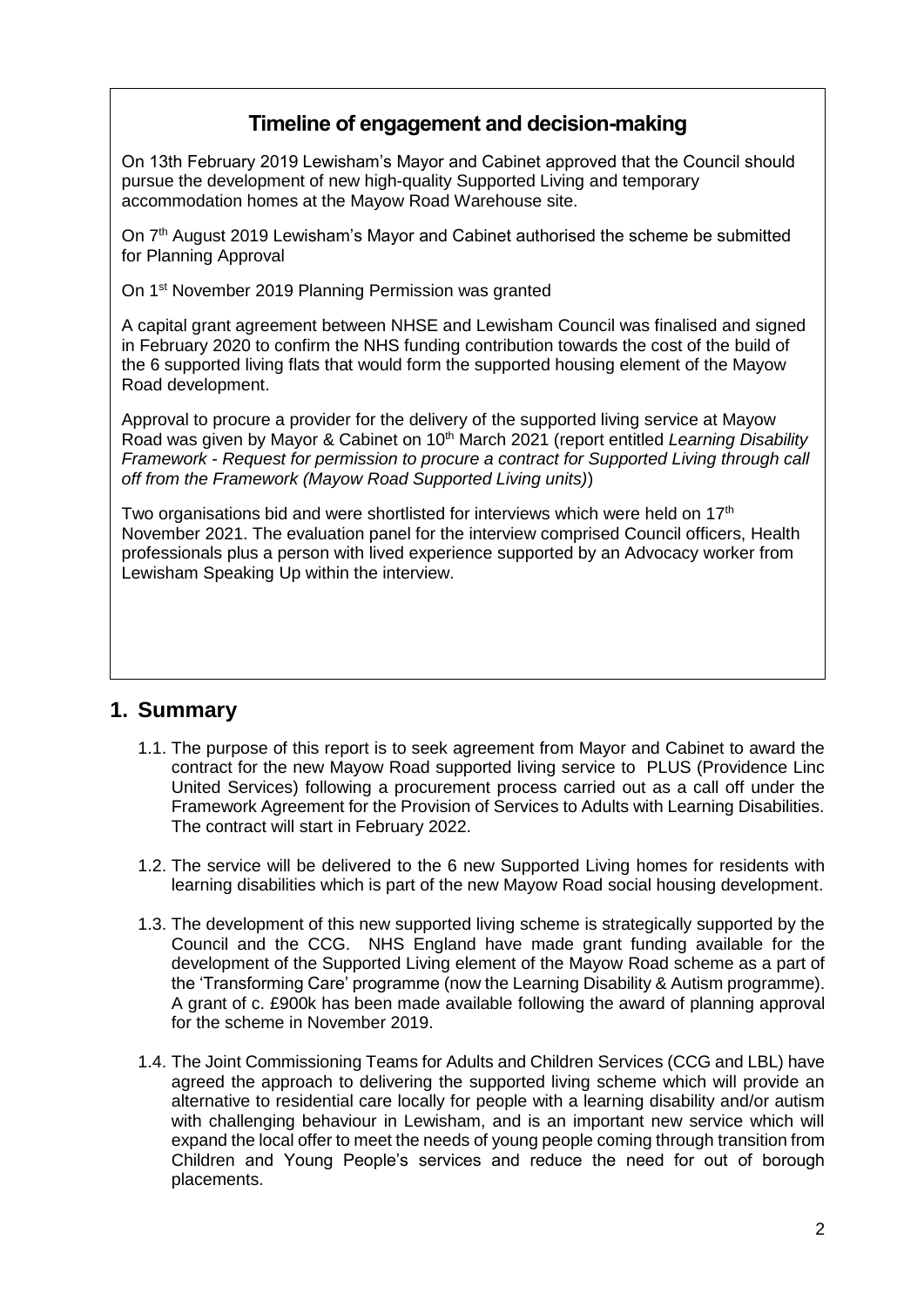## **Timeline of engagement and decision-making**

On 13th February 2019 Lewisham's Mayor and Cabinet approved that the Council should pursue the development of new high-quality Supported Living and temporary accommodation homes at the Mayow Road Warehouse site.

On 7<sup>th</sup> August 2019 Lewisham's Mayor and Cabinet authorised the scheme be submitted for Planning Approval

On 1st November 2019 Planning Permission was granted

A capital grant agreement between NHSE and Lewisham Council was finalised and signed in February 2020 to confirm the NHS funding contribution towards the cost of the build of the 6 supported living flats that would form the supported housing element of the Mayow Road development.

Approval to procure a provider for the delivery of the supported living service at Mayow Road was given by Mayor & Cabinet on 10<sup>th</sup> March 2021 (report entitled *Learning Disability Framework - Request for permission to procure a contract for Supported Living through call off from the Framework (Mayow Road Supported Living units)*)

Two organisations bid and were shortlisted for interviews which were held on  $17<sup>th</sup>$ November 2021. The evaluation panel for the interview comprised Council officers, Health professionals plus a person with lived experience supported by an Advocacy worker from Lewisham Speaking Up within the interview.

## **1. Summary**

- 1.1. The purpose of this report is to seek agreement from Mayor and Cabinet to award the contract for the new Mayow Road supported living service to PLUS (Providence Linc United Services) following a procurement process carried out as a call off under the Framework Agreement for the Provision of Services to Adults with Learning Disabilities. The contract will start in February 2022.
- 1.2. The service will be delivered to the 6 new Supported Living homes for residents with learning disabilities which is part of the new Mayow Road social housing development.
- 1.3. The development of this new supported living scheme is strategically supported by the Council and the CCG. NHS England have made grant funding available for the development of the Supported Living element of the Mayow Road scheme as a part of the 'Transforming Care' programme (now the Learning Disability & Autism programme). A grant of c. £900k has been made available following the award of planning approval for the scheme in November 2019.
- 1.4. The Joint Commissioning Teams for Adults and Children Services (CCG and LBL) have agreed the approach to delivering the supported living scheme which will provide an alternative to residential care locally for people with a learning disability and/or autism with challenging behaviour in Lewisham, and is an important new service which will expand the local offer to meet the needs of young people coming through transition from Children and Young People's services and reduce the need for out of borough placements.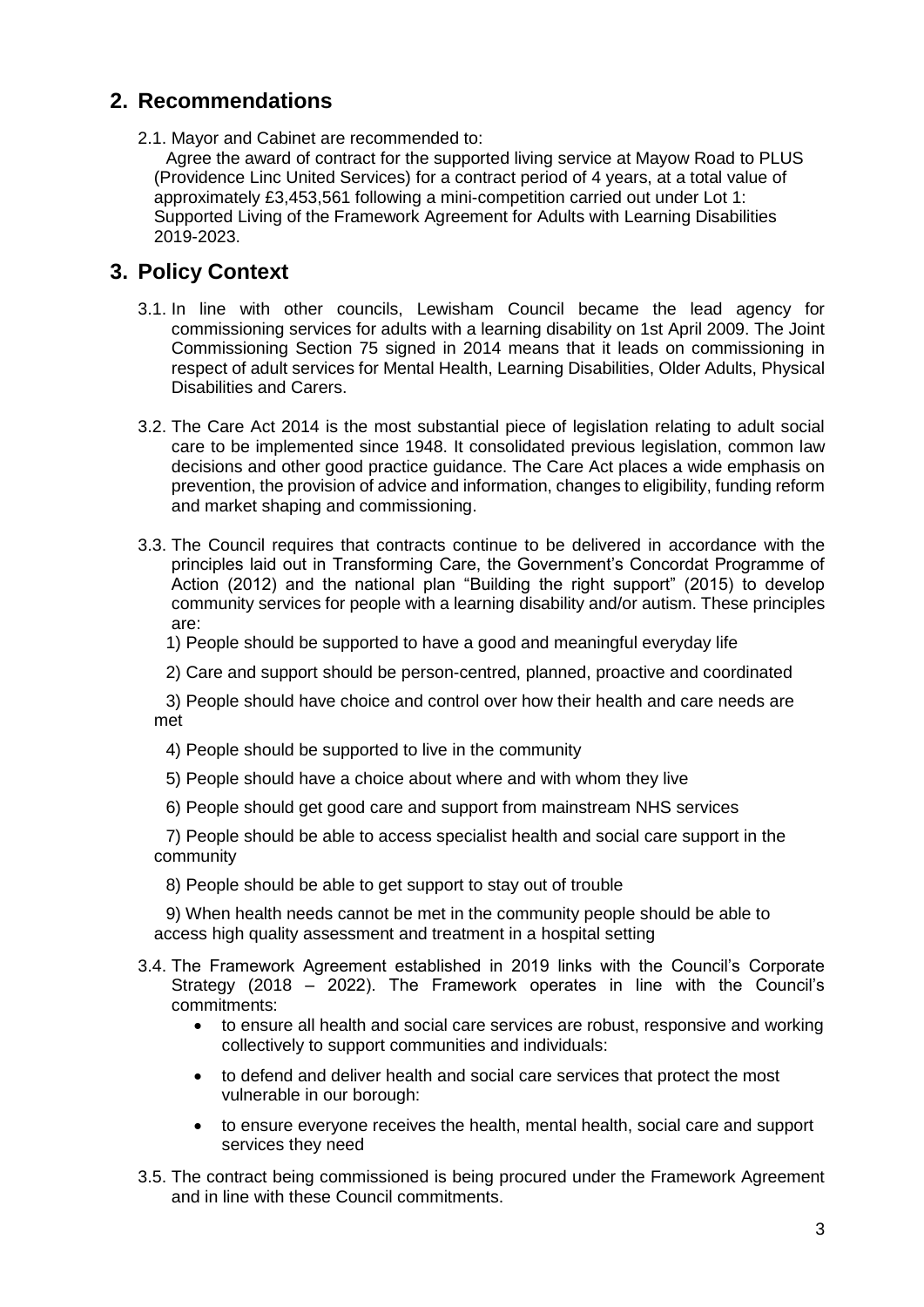## **2. Recommendations**

2.1. Mayor and Cabinet are recommended to:

Agree the award of contract for the supported living service at Mayow Road to PLUS (Providence Linc United Services) for a contract period of 4 years, at a total value of approximately £3,453,561 following a mini-competition carried out under Lot 1: Supported Living of the Framework Agreement for Adults with Learning Disabilities 2019-2023.

## **3. Policy Context**

- 3.1. In line with other councils, Lewisham Council became the lead agency for commissioning services for adults with a learning disability on 1st April 2009. The Joint Commissioning Section 75 signed in 2014 means that it leads on commissioning in respect of adult services for Mental Health, Learning Disabilities, Older Adults, Physical Disabilities and Carers.
- 3.2. The Care Act 2014 is the most substantial piece of legislation relating to adult social care to be implemented since 1948. It consolidated previous legislation, common law decisions and other good practice guidance. The Care Act places a wide emphasis on prevention, the provision of advice and information, changes to eligibility, funding reform and market shaping and commissioning.
- 3.3. The Council requires that contracts continue to be delivered in accordance with the principles laid out in Transforming Care, the Government's Concordat Programme of Action (2012) and the national plan "Building the right support" (2015) to develop community services for people with a learning disability and/or autism. These principles are:

1) People should be supported to have a good and meaningful everyday life

2) Care and support should be person-centred, planned, proactive and coordinated

3) People should have choice and control over how their health and care needs are met

- 4) People should be supported to live in the community
- 5) People should have a choice about where and with whom they live
- 6) People should get good care and support from mainstream NHS services

7) People should be able to access specialist health and social care support in the community

8) People should be able to get support to stay out of trouble

9) When health needs cannot be met in the community people should be able to access high quality assessment and treatment in a hospital setting

- 3.4. The Framework Agreement established in 2019 links with the Council's Corporate Strategy (2018 – 2022). The Framework operates in line with the Council's commitments:
	- to ensure all health and social care services are robust, responsive and working collectively to support communities and individuals:
	- to defend and deliver health and social care services that protect the most vulnerable in our borough:
	- to ensure everyone receives the health, mental health, social care and support services they need
- 3.5. The contract being commissioned is being procured under the Framework Agreement and in line with these Council commitments.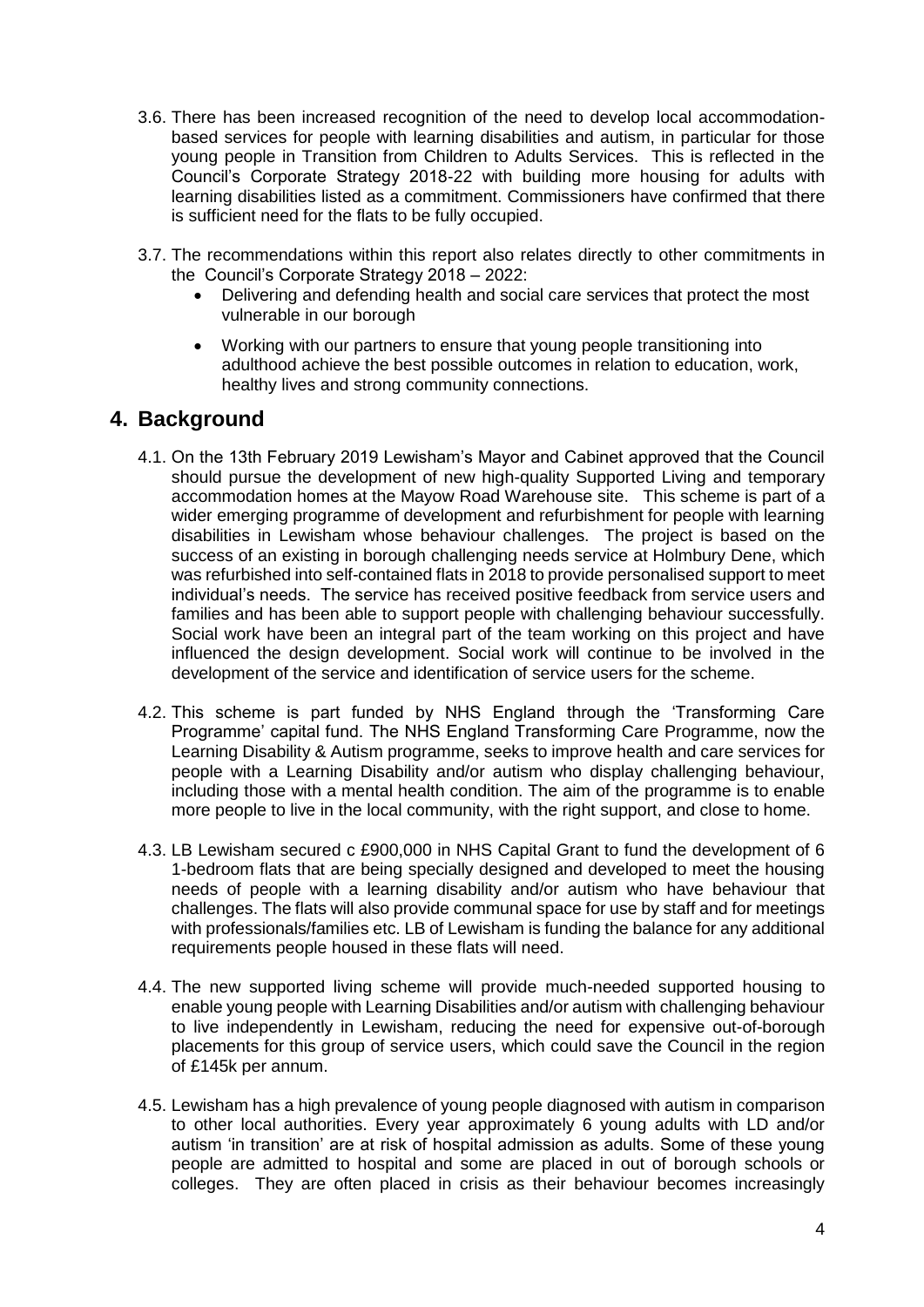- 3.6. There has been increased recognition of the need to develop local accommodationbased services for people with learning disabilities and autism, in particular for those young people in Transition from Children to Adults Services. This is reflected in the Council's Corporate Strategy 2018-22 with building more housing for adults with learning disabilities listed as a commitment. Commissioners have confirmed that there is sufficient need for the flats to be fully occupied.
- 3.7. The recommendations within this report also relates directly to other commitments in the Council's Corporate Strategy 2018 – 2022:
	- Delivering and defending health and social care services that protect the most vulnerable in our borough
	- Working with our partners to ensure that young people transitioning into adulthood achieve the best possible outcomes in relation to education, work, healthy lives and strong community connections.

#### **4. Background**

- 4.1. On the 13th February 2019 Lewisham's Mayor and Cabinet approved that the Council should pursue the development of new high-quality Supported Living and temporary accommodation homes at the Mayow Road Warehouse site. This scheme is part of a wider emerging programme of development and refurbishment for people with learning disabilities in Lewisham whose behaviour challenges. The project is based on the success of an existing in borough challenging needs service at Holmbury Dene, which was refurbished into self-contained flats in 2018 to provide personalised support to meet individual's needs. The service has received positive feedback from service users and families and has been able to support people with challenging behaviour successfully. Social work have been an integral part of the team working on this project and have influenced the design development. Social work will continue to be involved in the development of the service and identification of service users for the scheme.
- 4.2. This scheme is part funded by NHS England through the 'Transforming Care Programme' capital fund. The NHS England Transforming Care Programme, now the Learning Disability & Autism programme, seeks to improve health and care services for people with a Learning Disability and/or autism who display challenging behaviour, including those with a mental health condition. The aim of the programme is to enable more people to live in the local community, with the right support, and close to home.
- 4.3. LB Lewisham secured c £900,000 in NHS Capital Grant to fund the development of 6 1-bedroom flats that are being specially designed and developed to meet the housing needs of people with a learning disability and/or autism who have behaviour that challenges. The flats will also provide communal space for use by staff and for meetings with professionals/families etc. LB of Lewisham is funding the balance for any additional requirements people housed in these flats will need.
- 4.4. The new supported living scheme will provide much-needed supported housing to enable young people with Learning Disabilities and/or autism with challenging behaviour to live independently in Lewisham, reducing the need for expensive out-of-borough placements for this group of service users, which could save the Council in the region of £145k per annum.
- 4.5. Lewisham has a high prevalence of young people diagnosed with autism in comparison to other local authorities. Every year approximately 6 young adults with LD and/or autism 'in transition' are at risk of hospital admission as adults. Some of these young people are admitted to hospital and some are placed in out of borough schools or colleges. They are often placed in crisis as their behaviour becomes increasingly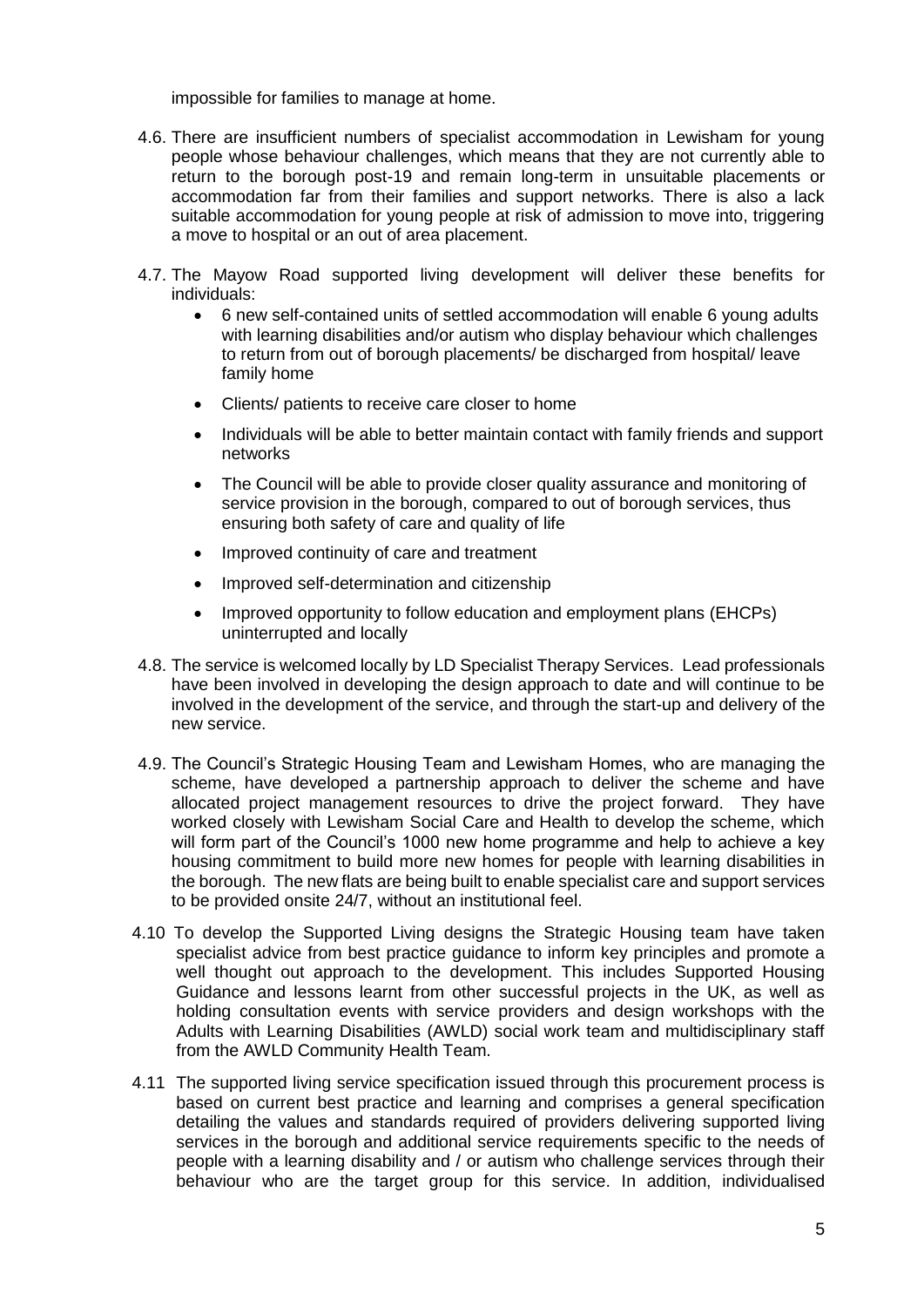impossible for families to manage at home.

- 4.6. There are insufficient numbers of specialist accommodation in Lewisham for young people whose behaviour challenges, which means that they are not currently able to return to the borough post-19 and remain long-term in unsuitable placements or accommodation far from their families and support networks. There is also a lack suitable accommodation for young people at risk of admission to move into, triggering a move to hospital or an out of area placement.
- 4.7. The Mayow Road supported living development will deliver these benefits for individuals:
	- 6 new self-contained units of settled accommodation will enable 6 young adults with learning disabilities and/or autism who display behaviour which challenges to return from out of borough placements/ be discharged from hospital/ leave family home
	- Clients/ patients to receive care closer to home
	- Individuals will be able to better maintain contact with family friends and support networks
	- The Council will be able to provide closer quality assurance and monitoring of service provision in the borough, compared to out of borough services, thus ensuring both safety of care and quality of life
	- Improved continuity of care and treatment
	- Improved self-determination and citizenship
	- Improved opportunity to follow education and employment plans (EHCPs) uninterrupted and locally
- 4.8. The service is welcomed locally by LD Specialist Therapy Services. Lead professionals have been involved in developing the design approach to date and will continue to be involved in the development of the service, and through the start-up and delivery of the new service.
- 4.9. The Council's Strategic Housing Team and Lewisham Homes, who are managing the scheme, have developed a partnership approach to deliver the scheme and have allocated project management resources to drive the project forward. They have worked closely with Lewisham Social Care and Health to develop the scheme, which will form part of the Council's 1000 new home programme and help to achieve a key housing commitment to build more new homes for people with learning disabilities in the borough. The new flats are being built to enable specialist care and support services to be provided onsite 24/7, without an institutional feel.
- 4.10 To develop the Supported Living designs the Strategic Housing team have taken specialist advice from best practice guidance to inform key principles and promote a well thought out approach to the development. This includes Supported Housing Guidance and lessons learnt from other successful projects in the UK, as well as holding consultation events with service providers and design workshops with the Adults with Learning Disabilities (AWLD) social work team and multidisciplinary staff from the AWLD Community Health Team.
- 4.11 The supported living service specification issued through this procurement process is based on current best practice and learning and comprises a general specification detailing the values and standards required of providers delivering supported living services in the borough and additional service requirements specific to the needs of people with a learning disability and / or autism who challenge services through their behaviour who are the target group for this service. In addition, individualised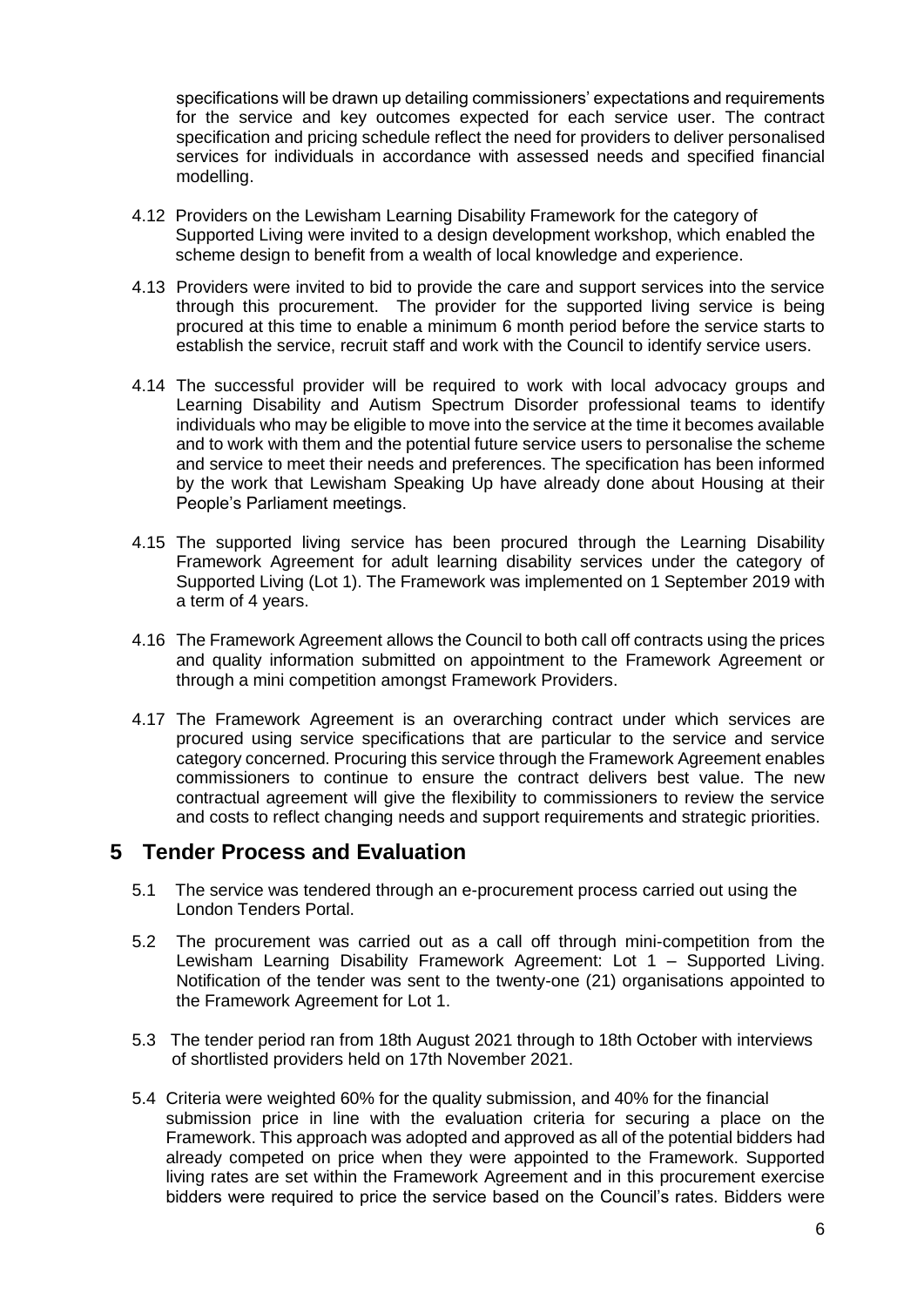specifications will be drawn up detailing commissioners' expectations and requirements for the service and key outcomes expected for each service user. The contract specification and pricing schedule reflect the need for providers to deliver personalised services for individuals in accordance with assessed needs and specified financial modelling.

- 4.12 Providers on the Lewisham Learning Disability Framework for the category of Supported Living were invited to a design development workshop, which enabled the scheme design to benefit from a wealth of local knowledge and experience.
- 4.13 Providers were invited to bid to provide the care and support services into the service through this procurement. The provider for the supported living service is being procured at this time to enable a minimum 6 month period before the service starts to establish the service, recruit staff and work with the Council to identify service users.
- 4.14 The successful provider will be required to work with local advocacy groups and Learning Disability and Autism Spectrum Disorder professional teams to identify individuals who may be eligible to move into the service at the time it becomes available and to work with them and the potential future service users to personalise the scheme and service to meet their needs and preferences. The specification has been informed by the work that Lewisham Speaking Up have already done about Housing at their People's Parliament meetings.
- 4.15 The supported living service has been procured through the Learning Disability Framework Agreement for adult learning disability services under the category of Supported Living (Lot 1). The Framework was implemented on 1 September 2019 with a term of 4 years.
- 4.16 The Framework Agreement allows the Council to both call off contracts using the prices and quality information submitted on appointment to the Framework Agreement or through a mini competition amongst Framework Providers.
- 4.17 The Framework Agreement is an overarching contract under which services are procured using service specifications that are particular to the service and service category concerned. Procuring this service through the Framework Agreement enables commissioners to continue to ensure the contract delivers best value. The new contractual agreement will give the flexibility to commissioners to review the service and costs to reflect changing needs and support requirements and strategic priorities.

#### **5 Tender Process and Evaluation**

- 5.1 The service was tendered through an e-procurement process carried out using the London Tenders Portal.
- 5.2 The procurement was carried out as a call off through mini-competition from the Lewisham Learning Disability Framework Agreement: Lot 1 – Supported Living. Notification of the tender was sent to the twenty-one (21) organisations appointed to the Framework Agreement for Lot 1.
- 5.3 The tender period ran from 18th August 2021 through to 18th October with interviews of shortlisted providers held on 17th November 2021.
- 5.4 Criteria were weighted 60% for the quality submission, and 40% for the financial submission price in line with the evaluation criteria for securing a place on the Framework. This approach was adopted and approved as all of the potential bidders had already competed on price when they were appointed to the Framework. Supported living rates are set within the Framework Agreement and in this procurement exercise bidders were required to price the service based on the Council's rates. Bidders were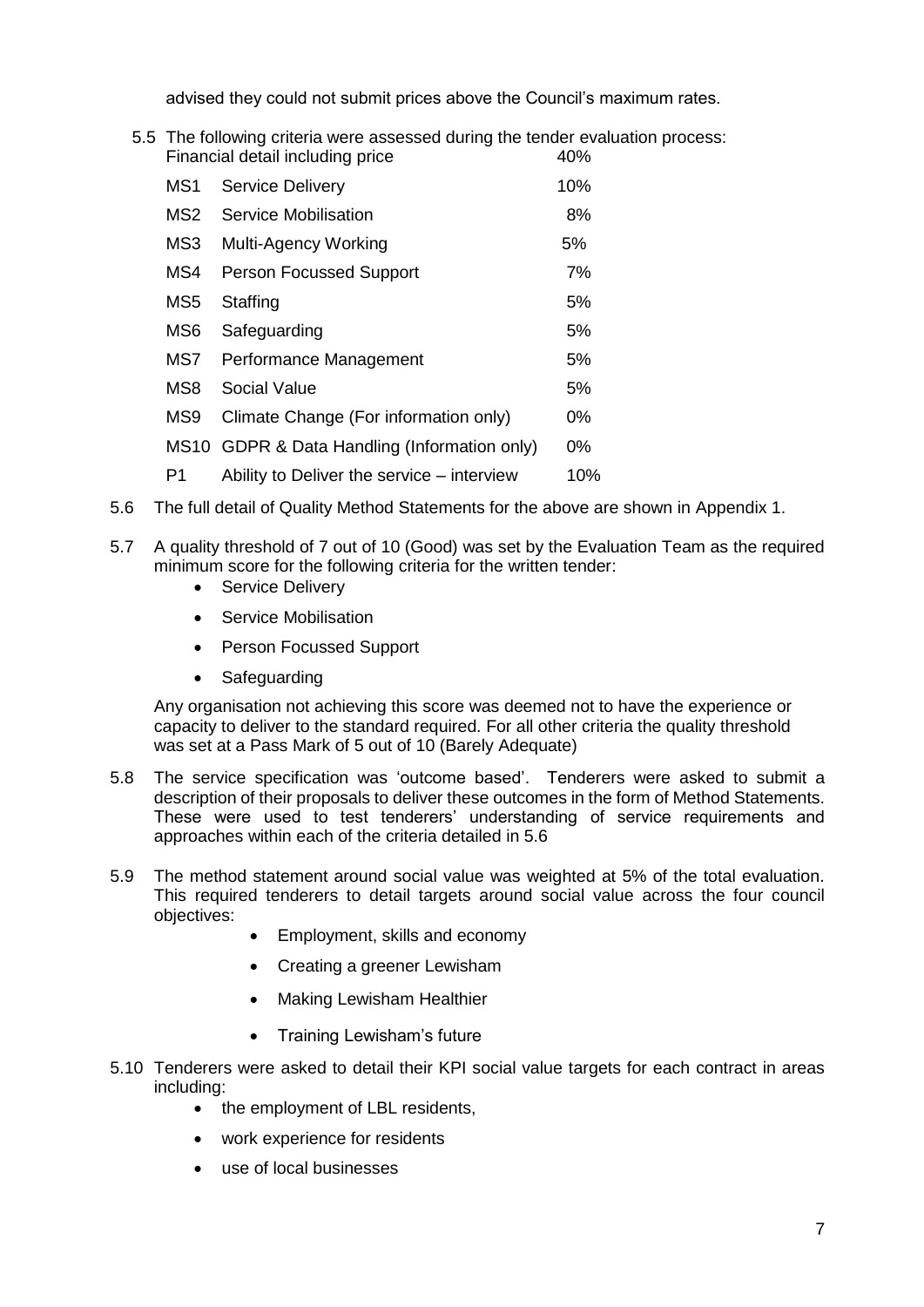advised they could not submit prices above the Council's maximum rates.

5.5 The following criteria were assessed during the tender evaluation process: Financial detail including price 40%

| MS1 | <b>Service Delivery</b>                      | 10%   |
|-----|----------------------------------------------|-------|
| MS2 | <b>Service Mobilisation</b>                  | 8%    |
| MS3 | Multi-Agency Working                         | 5%    |
| MS4 | <b>Person Focussed Support</b>               | 7%    |
| MS5 | Staffing                                     | 5%    |
| MS6 | Safeguarding                                 | 5%    |
| MS7 | Performance Management                       | 5%    |
| MS8 | <b>Social Value</b>                          | 5%    |
| MS9 | Climate Change (For information only)        | 0%    |
|     | MS10 GDPR & Data Handling (Information only) | $0\%$ |
| P1  | Ability to Deliver the service – interview   | 10%   |

- 5.6 The full detail of Quality Method Statements for the above are shown in Appendix 1.
- 5.7 A quality threshold of 7 out of 10 (Good) was set by the Evaluation Team as the required minimum score for the following criteria for the written tender:
	- Service Deliverv
	- Service Mobilisation
	- Person Focussed Support
	- Safeguarding

Any organisation not achieving this score was deemed not to have the experience or capacity to deliver to the standard required. For all other criteria the quality threshold was set at a Pass Mark of 5 out of 10 (Barely Adequate)

- 5.8 The service specification was 'outcome based'. Tenderers were asked to submit a description of their proposals to deliver these outcomes in the form of Method Statements. These were used to test tenderers' understanding of service requirements and approaches within each of the criteria detailed in 5.6
- 5.9 The method statement around social value was weighted at 5% of the total evaluation. This required tenderers to detail targets around social value across the four council objectives:
	- Employment, skills and economy
	- Creating a greener Lewisham
	- Making Lewisham Healthier
	- Training Lewisham's future
- 5.10 Tenderers were asked to detail their KPI social value targets for each contract in areas including:
	- the employment of LBL residents,
	- work experience for residents
	- use of local businesses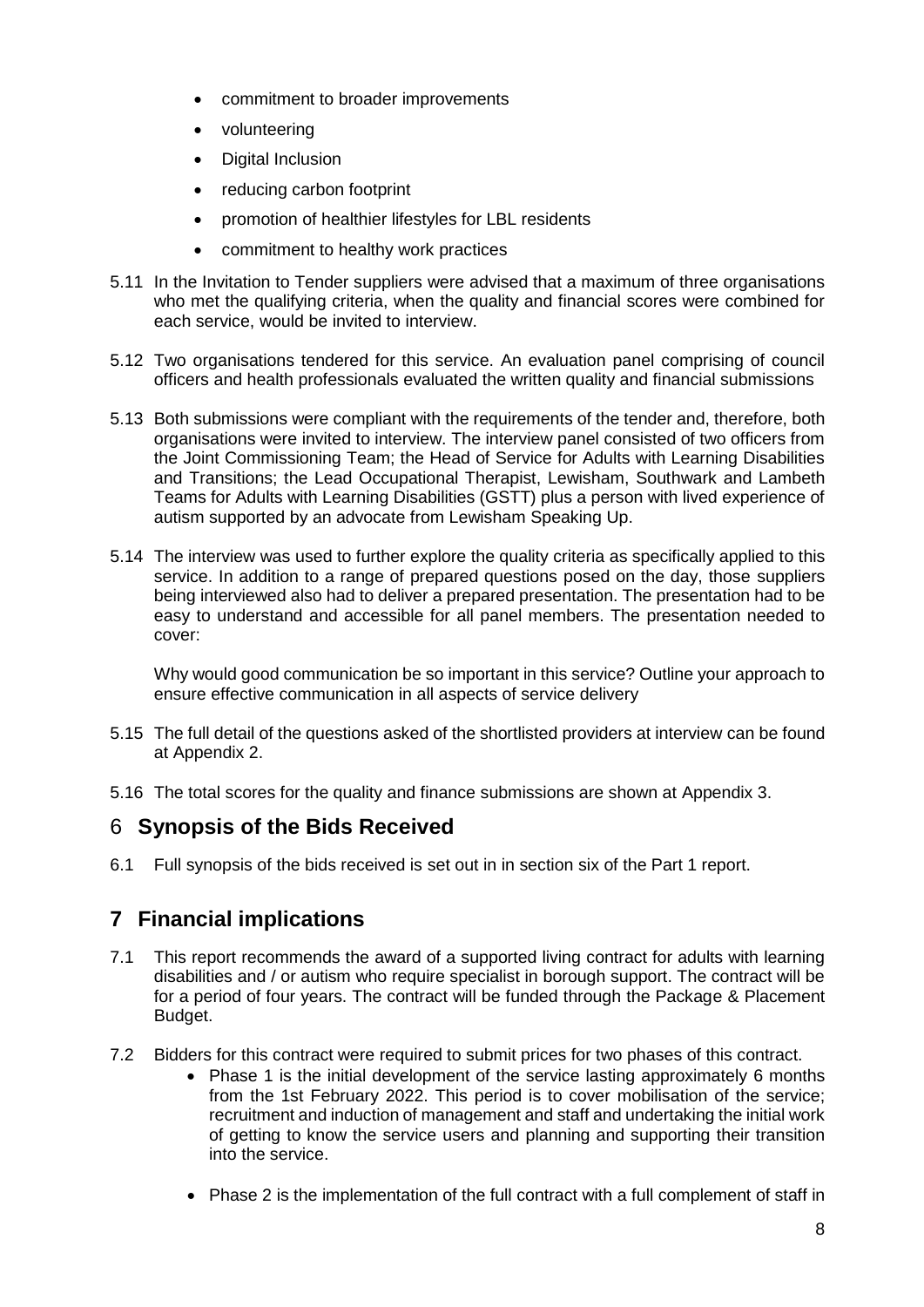- commitment to broader improvements
- volunteering
- Digital Inclusion
- reducing carbon footprint
- promotion of healthier lifestyles for LBL residents
- commitment to healthy work practices
- 5.11 In the Invitation to Tender suppliers were advised that a maximum of three organisations who met the qualifying criteria, when the quality and financial scores were combined for each service, would be invited to interview.
- 5.12 Two organisations tendered for this service. An evaluation panel comprising of council officers and health professionals evaluated the written quality and financial submissions
- 5.13 Both submissions were compliant with the requirements of the tender and, therefore, both organisations were invited to interview. The interview panel consisted of two officers from the Joint Commissioning Team; the Head of Service for Adults with Learning Disabilities and Transitions; the Lead Occupational Therapist, Lewisham, Southwark and Lambeth Teams for Adults with Learning Disabilities (GSTT) plus a person with lived experience of autism supported by an advocate from Lewisham Speaking Up.
- 5.14 The interview was used to further explore the quality criteria as specifically applied to this service. In addition to a range of prepared questions posed on the day, those suppliers being interviewed also had to deliver a prepared presentation. The presentation had to be easy to understand and accessible for all panel members. The presentation needed to cover:

Why would good communication be so important in this service? Outline your approach to ensure effective communication in all aspects of service delivery

- 5.15 The full detail of the questions asked of the shortlisted providers at interview can be found at Appendix 2.
- 5.16 The total scores for the quality and finance submissions are shown at Appendix 3.

#### 6 **Synopsis of the Bids Received**

6.1 Full synopsis of the bids received is set out in in section six of the Part 1 report.

## **7 Financial implications**

- 7.1 This report recommends the award of a supported living contract for adults with learning disabilities and / or autism who require specialist in borough support. The contract will be for a period of four years. The contract will be funded through the Package & Placement Budget.
- 7.2 Bidders for this contract were required to submit prices for two phases of this contract.
	- Phase 1 is the initial development of the service lasting approximately 6 months from the 1st February 2022. This period is to cover mobilisation of the service; recruitment and induction of management and staff and undertaking the initial work of getting to know the service users and planning and supporting their transition into the service.
	- Phase 2 is the implementation of the full contract with a full complement of staff in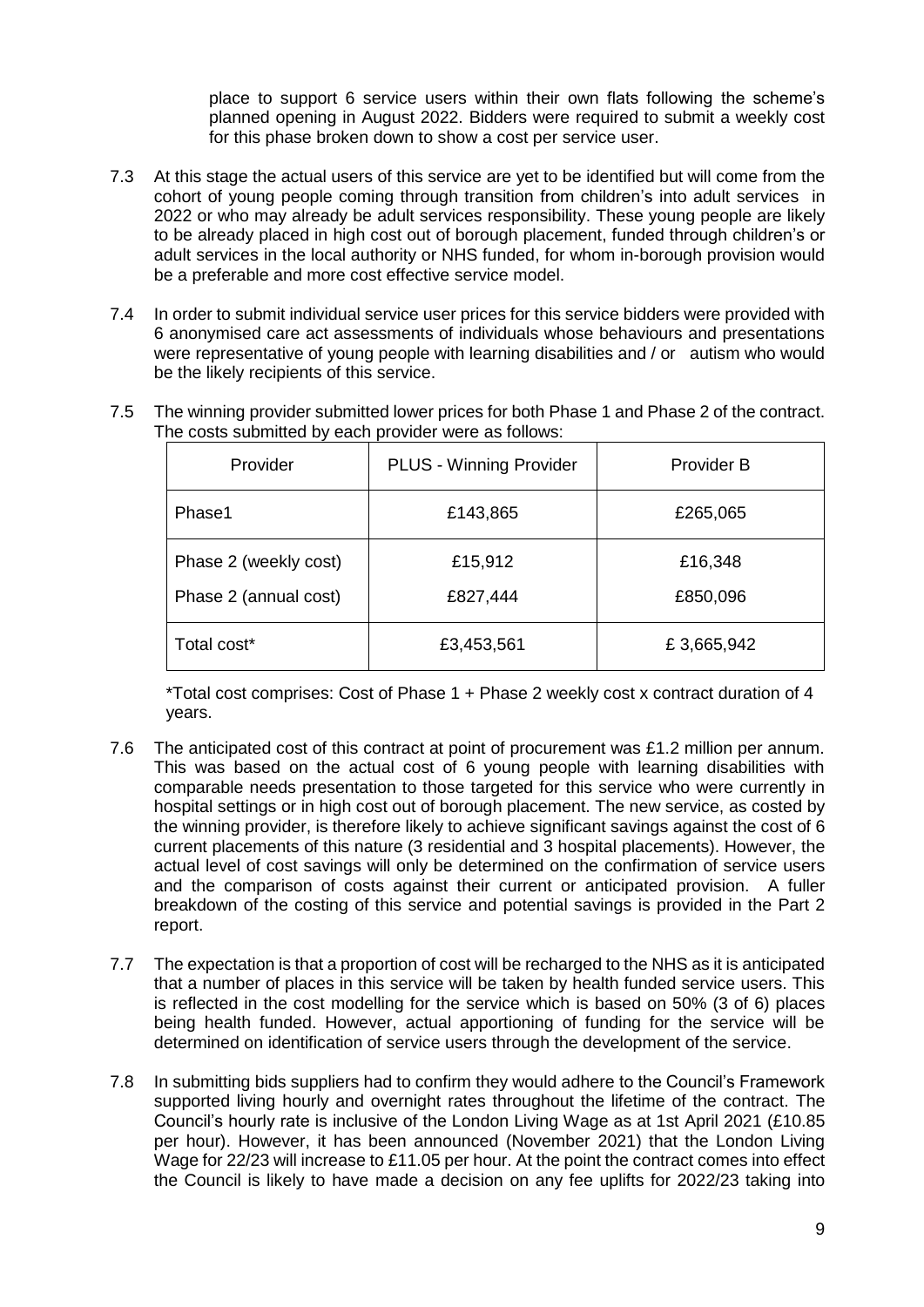place to support 6 service users within their own flats following the scheme's planned opening in August 2022. Bidders were required to submit a weekly cost for this phase broken down to show a cost per service user.

- 7.3 At this stage the actual users of this service are yet to be identified but will come from the cohort of young people coming through transition from children's into adult services in 2022 or who may already be adult services responsibility. These young people are likely to be already placed in high cost out of borough placement, funded through children's or adult services in the local authority or NHS funded, for whom in-borough provision would be a preferable and more cost effective service model.
- 7.4 In order to submit individual service user prices for this service bidders were provided with 6 anonymised care act assessments of individuals whose behaviours and presentations were representative of young people with learning disabilities and / or autism who would be the likely recipients of this service.

| Provider              | <b>PLUS - Winning Provider</b> | <b>Provider B</b> |
|-----------------------|--------------------------------|-------------------|
| Phase1                | £143,865                       | £265,065          |
| Phase 2 (weekly cost) | £15,912                        | £16,348           |
| Phase 2 (annual cost) | £827,444                       | £850,096          |
| Total cost*           | £3,453,561                     | £3,665,942        |

7.5 The winning provider submitted lower prices for both Phase 1 and Phase 2 of the contract. The costs submitted by each provider were as follows:

\*Total cost comprises: Cost of Phase 1 + Phase 2 weekly cost x contract duration of 4 years.

- 7.6 The anticipated cost of this contract at point of procurement was £1.2 million per annum. This was based on the actual cost of 6 young people with learning disabilities with comparable needs presentation to those targeted for this service who were currently in hospital settings or in high cost out of borough placement. The new service, as costed by the winning provider, is therefore likely to achieve significant savings against the cost of 6 current placements of this nature (3 residential and 3 hospital placements). However, the actual level of cost savings will only be determined on the confirmation of service users and the comparison of costs against their current or anticipated provision. A fuller breakdown of the costing of this service and potential savings is provided in the Part 2 report.
- 7.7 The expectation is that a proportion of cost will be recharged to the NHS as it is anticipated that a number of places in this service will be taken by health funded service users. This is reflected in the cost modelling for the service which is based on 50% (3 of 6) places being health funded. However, actual apportioning of funding for the service will be determined on identification of service users through the development of the service.
- 7.8 In submitting bids suppliers had to confirm they would adhere to the Council's Framework supported living hourly and overnight rates throughout the lifetime of the contract. The Council's hourly rate is inclusive of the London Living Wage as at 1st April 2021 (£10.85 per hour). However, it has been announced (November 2021) that the London Living Wage for 22/23 will increase to £11.05 per hour. At the point the contract comes into effect the Council is likely to have made a decision on any fee uplifts for 2022/23 taking into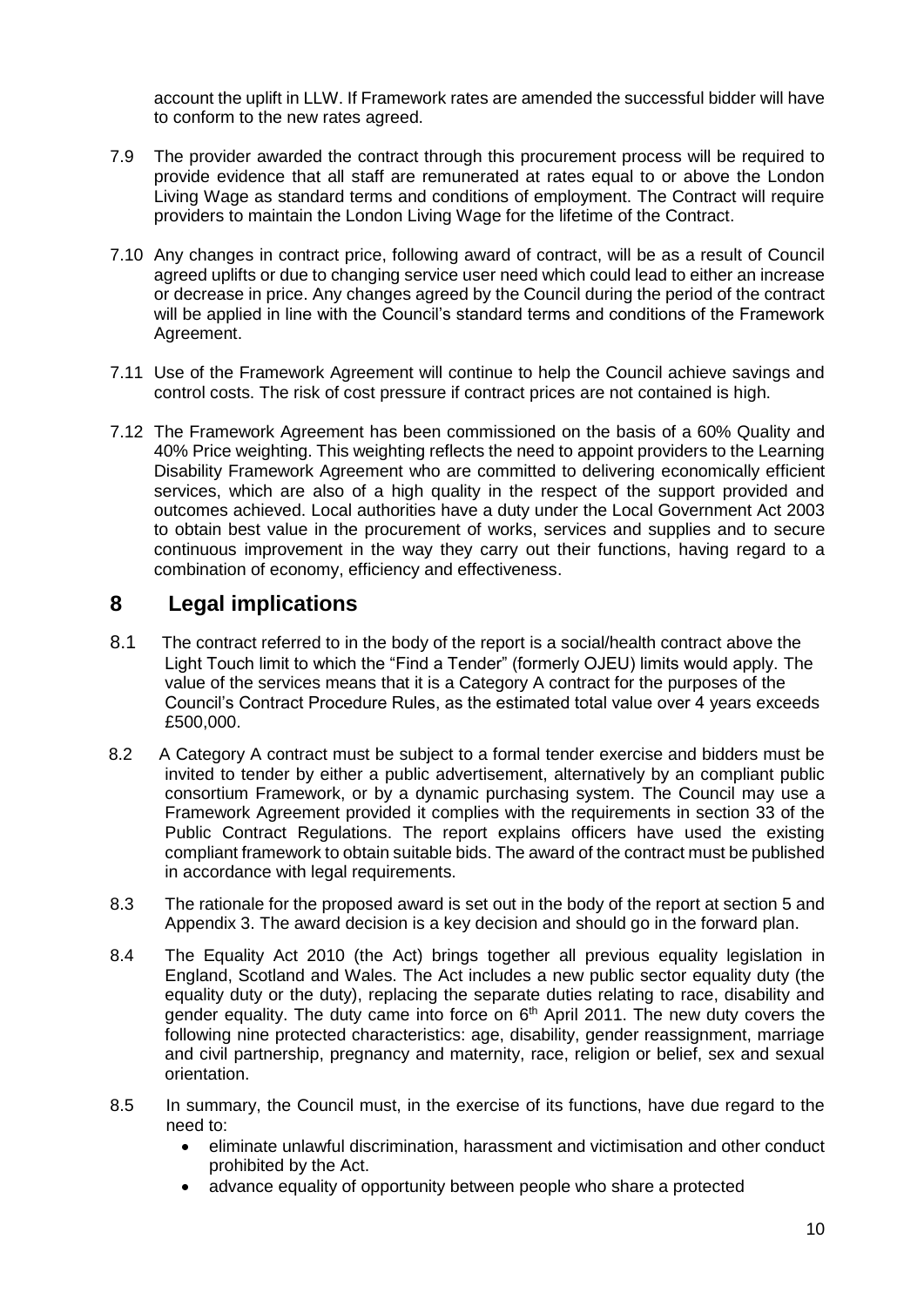account the uplift in LLW. If Framework rates are amended the successful bidder will have to conform to the new rates agreed.

- 7.9 The provider awarded the contract through this procurement process will be required to provide evidence that all staff are remunerated at rates equal to or above the London Living Wage as standard terms and conditions of employment. The Contract will require providers to maintain the London Living Wage for the lifetime of the Contract.
- 7.10 Any changes in contract price, following award of contract, will be as a result of Council agreed uplifts or due to changing service user need which could lead to either an increase or decrease in price. Any changes agreed by the Council during the period of the contract will be applied in line with the Council's standard terms and conditions of the Framework Agreement.
- 7.11 Use of the Framework Agreement will continue to help the Council achieve savings and control costs. The risk of cost pressure if contract prices are not contained is high.
- 7.12 The Framework Agreement has been commissioned on the basis of a 60% Quality and 40% Price weighting. This weighting reflects the need to appoint providers to the Learning Disability Framework Agreement who are committed to delivering economically efficient services, which are also of a high quality in the respect of the support provided and outcomes achieved. Local authorities have a duty under the Local Government Act 2003 to obtain best value in the procurement of works, services and supplies and to secure continuous improvement in the way they carry out their functions, having regard to a combination of economy, efficiency and effectiveness.

#### **8 Legal implications**

- 8.1 The contract referred to in the body of the report is a social/health contract above the Light Touch limit to which the "Find a Tender" (formerly OJEU) limits would apply. The value of the services means that it is a Category A contract for the purposes of the Council's Contract Procedure Rules, as the estimated total value over 4 years exceeds £500,000.
- 8.2A Category A contract must be subject to a formal tender exercise and bidders must be invited to tender by either a public advertisement, alternatively by an compliant public consortium Framework, or by a dynamic purchasing system. The Council may use a Framework Agreement provided it complies with the requirements in section 33 of the Public Contract Regulations. The report explains officers have used the existing compliant framework to obtain suitable bids. The award of the contract must be published in accordance with legal requirements.
- 8.3 The rationale for the proposed award is set out in the body of the report at section 5 and Appendix 3. The award decision is a key decision and should go in the forward plan.
- 8.4 The Equality Act 2010 (the Act) brings together all previous equality legislation in England, Scotland and Wales. The Act includes a new public sector equality duty (the equality duty or the duty), replacing the separate duties relating to race, disability and gender equality. The duty came into force on  $6<sup>th</sup>$  April 2011. The new duty covers the following nine protected characteristics: age, disability, gender reassignment, marriage and civil partnership, pregnancy and maternity, race, religion or belief, sex and sexual orientation.
- 8.5 In summary, the Council must, in the exercise of its functions, have due regard to the need to:
	- eliminate unlawful discrimination, harassment and victimisation and other conduct prohibited by the Act.
	- advance equality of opportunity between people who share a protected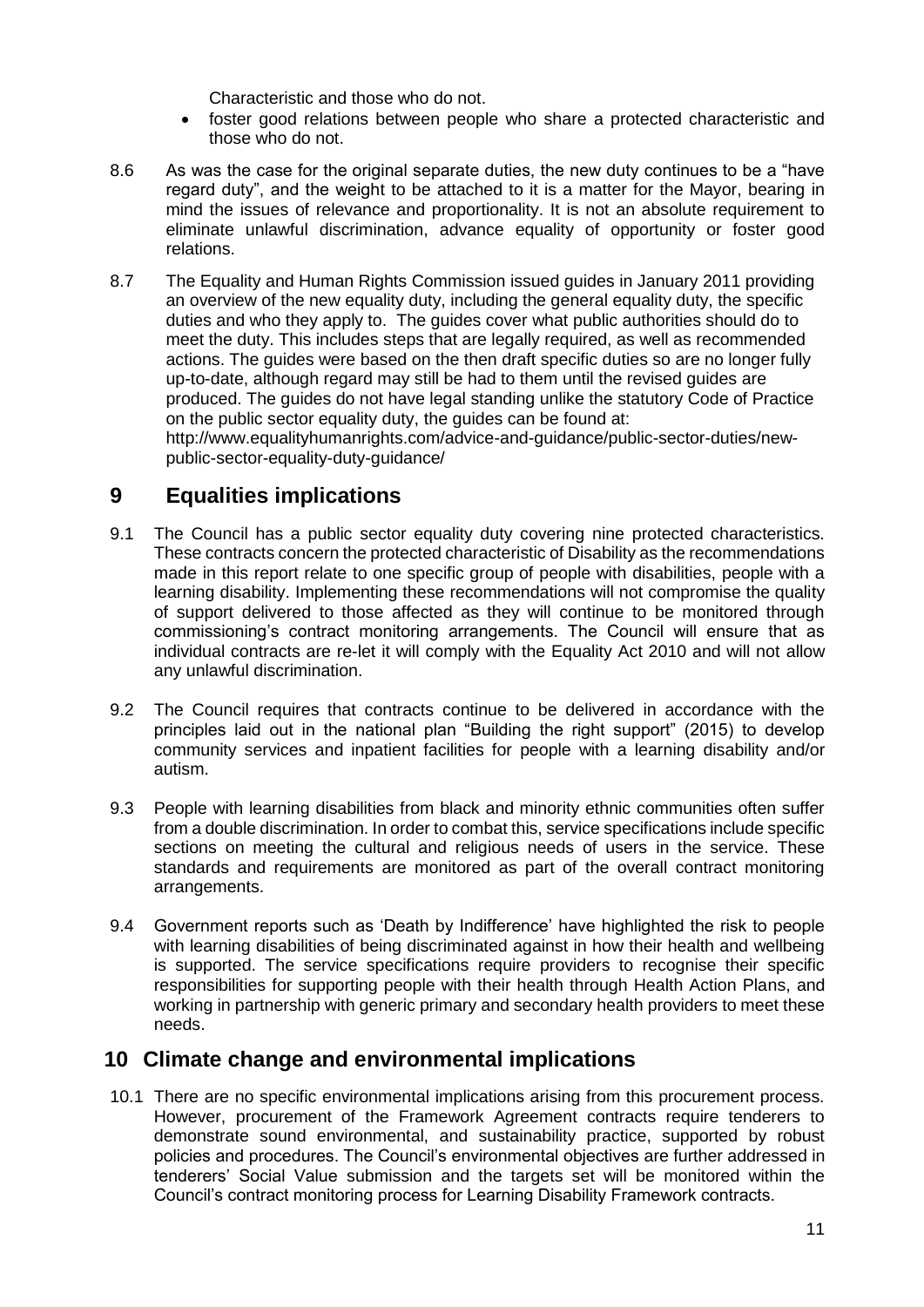Characteristic and those who do not.

- foster good relations between people who share a protected characteristic and those who do not.
- 8.6 As was the case for the original separate duties, the new duty continues to be a "have regard duty", and the weight to be attached to it is a matter for the Mayor, bearing in mind the issues of relevance and proportionality. It is not an absolute requirement to eliminate unlawful discrimination, advance equality of opportunity or foster good relations.
- 8.7 The Equality and Human Rights Commission issued guides in January 2011 providing an overview of the new equality duty, including the general equality duty, the specific duties and who they apply to. The guides cover what public authorities should do to meet the duty. This includes steps that are legally required, as well as recommended actions. The guides were based on the then draft specific duties so are no longer fully up-to-date, although regard may still be had to them until the revised guides are produced. The guides do not have legal standing unlike the statutory Code of Practice on the public sector equality duty, the guides can be found at: [http://www.equalityhumanrights.com/advice-and-guidance/public-sector-duties/new](http://www.equalityhumanrights.com/advice-and-guidance/public-sector-duties/new-public-sector-equality-duty-guidance/)[public-sector-equality-duty-guidance/](http://www.equalityhumanrights.com/advice-and-guidance/public-sector-duties/new-public-sector-equality-duty-guidance/)

#### **9 Equalities implications**

- 9.1 The Council has a public sector equality duty covering nine protected characteristics. These contracts concern the protected characteristic of Disability as the recommendations made in this report relate to one specific group of people with disabilities, people with a learning disability. Implementing these recommendations will not compromise the quality of support delivered to those affected as they will continue to be monitored through commissioning's contract monitoring arrangements. The Council will ensure that as individual contracts are re-let it will comply with the Equality Act 2010 and will not allow any unlawful discrimination.
- 9.2 The Council requires that contracts continue to be delivered in accordance with the principles laid out in the national plan "Building the right support" (2015) to develop community services and inpatient facilities for people with a learning disability and/or autism.
- 9.3 People with learning disabilities from black and minority ethnic communities often suffer from a double discrimination. In order to combat this, service specifications include specific sections on meeting the cultural and religious needs of users in the service. These standards and requirements are monitored as part of the overall contract monitoring arrangements.
- 9.4 Government reports such as 'Death by Indifference' have highlighted the risk to people with learning disabilities of being discriminated against in how their health and wellbeing is supported. The service specifications require providers to recognise their specific responsibilities for supporting people with their health through Health Action Plans, and working in partnership with generic primary and secondary health providers to meet these needs.

#### **10 Climate change and environmental implications**

10.1 There are no specific environmental implications arising from this procurement process. However, procurement of the Framework Agreement contracts require tenderers to demonstrate sound environmental, and sustainability practice, supported by robust policies and procedures. The Council's environmental objectives are further addressed in tenderers' Social Value submission and the targets set will be monitored within the Council's contract monitoring process for Learning Disability Framework contracts.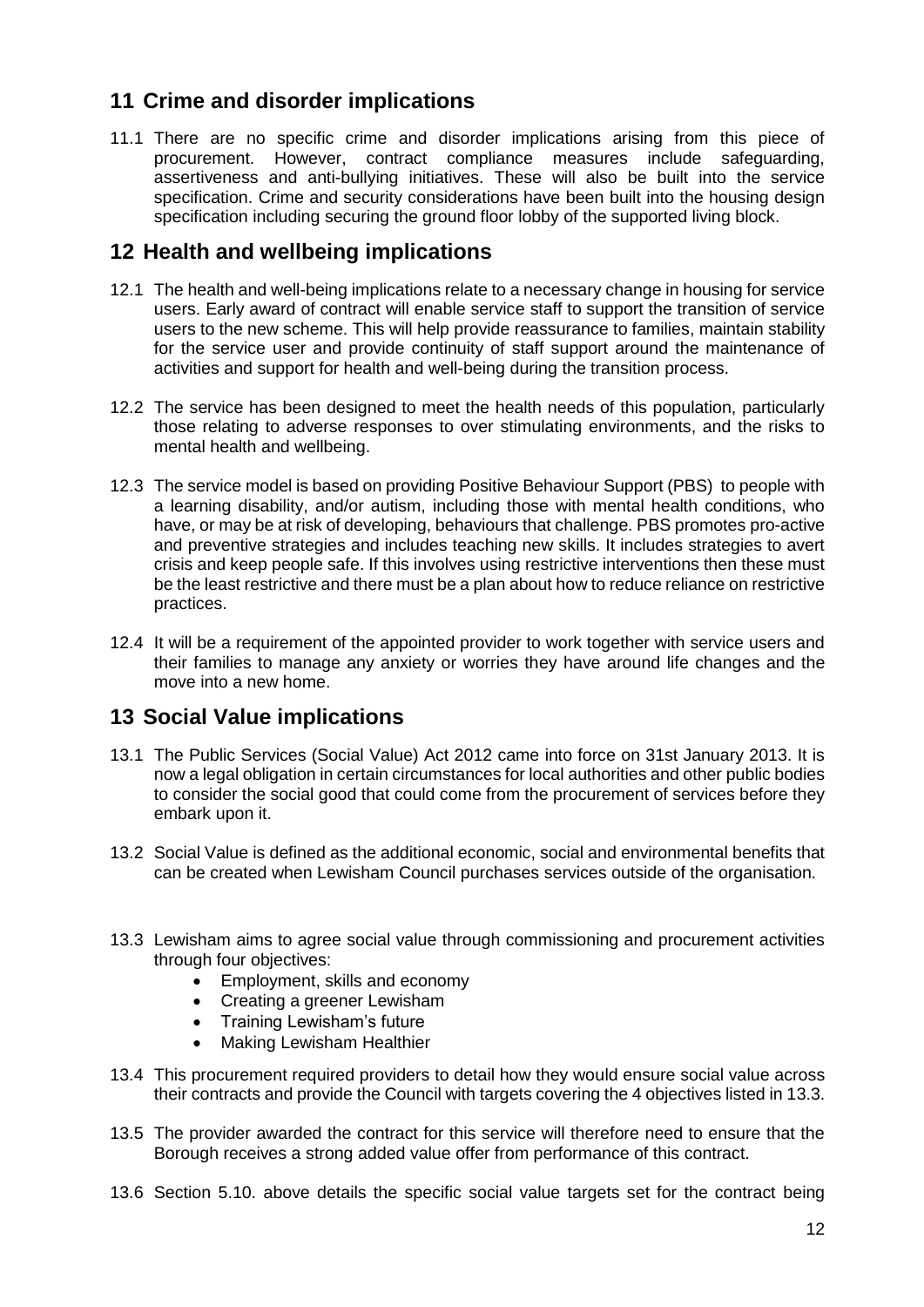## **11 Crime and disorder implications**

11.1 There are no specific crime and disorder implications arising from this piece of procurement. However, contract compliance measures include safeguarding, assertiveness and anti-bullying initiatives. These will also be built into the service specification. Crime and security considerations have been built into the housing design specification including securing the ground floor lobby of the supported living block.

## **12 Health and wellbeing implications**

- 12.1 The health and well-being implications relate to a necessary change in housing for service users. Early award of contract will enable service staff to support the transition of service users to the new scheme. This will help provide reassurance to families, maintain stability for the service user and provide continuity of staff support around the maintenance of activities and support for health and well-being during the transition process.
- 12.2 The service has been designed to meet the health needs of this population, particularly those relating to adverse responses to over stimulating environments, and the risks to mental health and wellbeing.
- 12.3 The service model is based on providing Positive Behaviour Support (PBS) to people with a learning disability, and/or autism, including those with mental health conditions, who have, or may be at risk of developing, behaviours that challenge. PBS promotes pro-active and preventive strategies and includes teaching new skills. It includes strategies to avert crisis and keep people safe. If this involves using restrictive interventions then these must be the least restrictive and there must be a plan about how to reduce reliance on restrictive practices.
- 12.4 It will be a requirement of the appointed provider to work together with service users and their families to manage any anxiety or worries they have around life changes and the move into a new home.

## **13 Social Value implications**

- 13.1 The Public Services (Social Value) Act 2012 came into force on 31st January 2013. It is now a legal obligation in certain circumstances for local authorities and other public bodies to consider the social good that could come from the procurement of services before they embark upon it.
- 13.2 Social Value is defined as the additional economic, social and environmental benefits that can be created when Lewisham Council purchases services outside of the organisation.
- 13.3 Lewisham aims to agree social value through commissioning and procurement activities through four objectives:
	- Employment, skills and economy
	- Creating a greener Lewisham
	- Training Lewisham's future
	- Making Lewisham Healthier
- 13.4 This procurement required providers to detail how they would ensure social value across their contracts and provide the Council with targets covering the 4 objectives listed in 13.3.
- 13.5 The provider awarded the contract for this service will therefore need to ensure that the Borough receives a strong added value offer from performance of this contract.
- 13.6 Section 5.10. above details the specific social value targets set for the contract being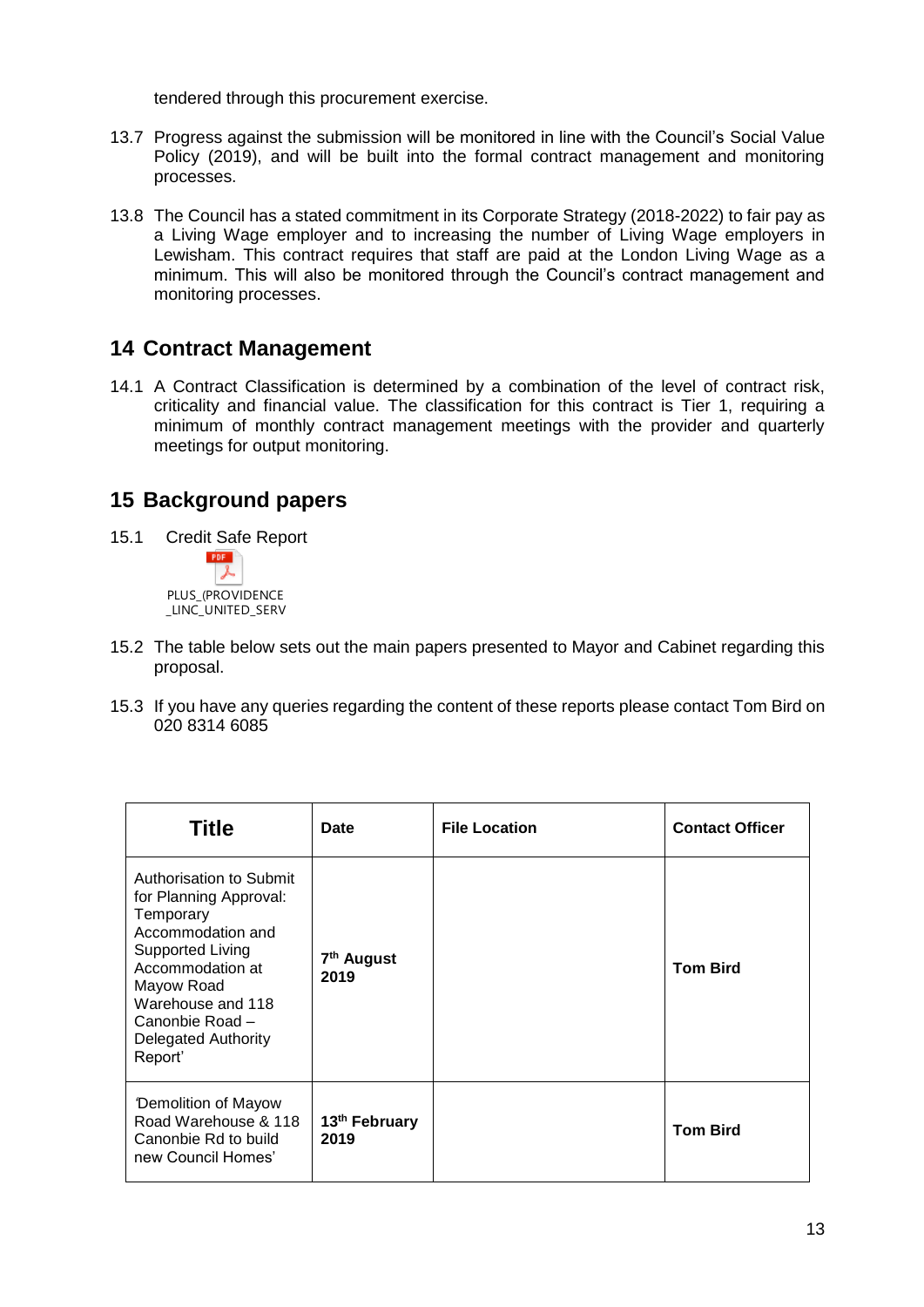tendered through this procurement exercise.

- 13.7 Progress against the submission will be monitored in line with the Council's Social Value Policy (2019), and will be built into the formal contract management and monitoring processes.
- 13.8 The Council has a stated commitment in its Corporate Strategy (2018-2022) to fair pay as a Living Wage employer and to increasing the number of Living Wage employers in Lewisham. This contract requires that staff are paid at the London Living Wage as a minimum. This will also be monitored through the Council's contract management and monitoring processes.

#### **14 Contract Management**

14.1 A Contract Classification is determined by a combination of the level of contract risk, criticality and financial value. The classification for this contract is Tier 1, requiring a minimum of monthly contract management meetings with the provider and quarterly meetings for output monitoring.

## **15 Background papers**

- 15.1 Credit Safe Report **PDF** 又 PLUS\_(PROVIDENCE LINC\_UNITED\_SERV
- 15.2 The table below sets out the main papers presented to Mayor and Cabinet regarding this proposal.
- 15.3 If you have any queries regarding the content of these reports please contact Tom Bird on 020 8314 6085

| <b>Title</b>                                                                                                                                                                                                              | Date                              | <b>File Location</b> | <b>Contact Officer</b> |
|---------------------------------------------------------------------------------------------------------------------------------------------------------------------------------------------------------------------------|-----------------------------------|----------------------|------------------------|
| Authorisation to Submit<br>for Planning Approval:<br>Temporary<br>Accommodation and<br>Supported Living<br>Accommodation at<br>Mayow Road<br>Warehouse and 118<br>Canonbie Road-<br><b>Delegated Authority</b><br>Report' | 7 <sup>th</sup> August<br>2019    |                      | <b>Tom Bird</b>        |
| <b>Demolition of Mayow</b><br>Road Warehouse & 118<br>Canonbie Rd to build<br>new Council Homes'                                                                                                                          | 13 <sup>th</sup> February<br>2019 |                      | <b>Tom Bird</b>        |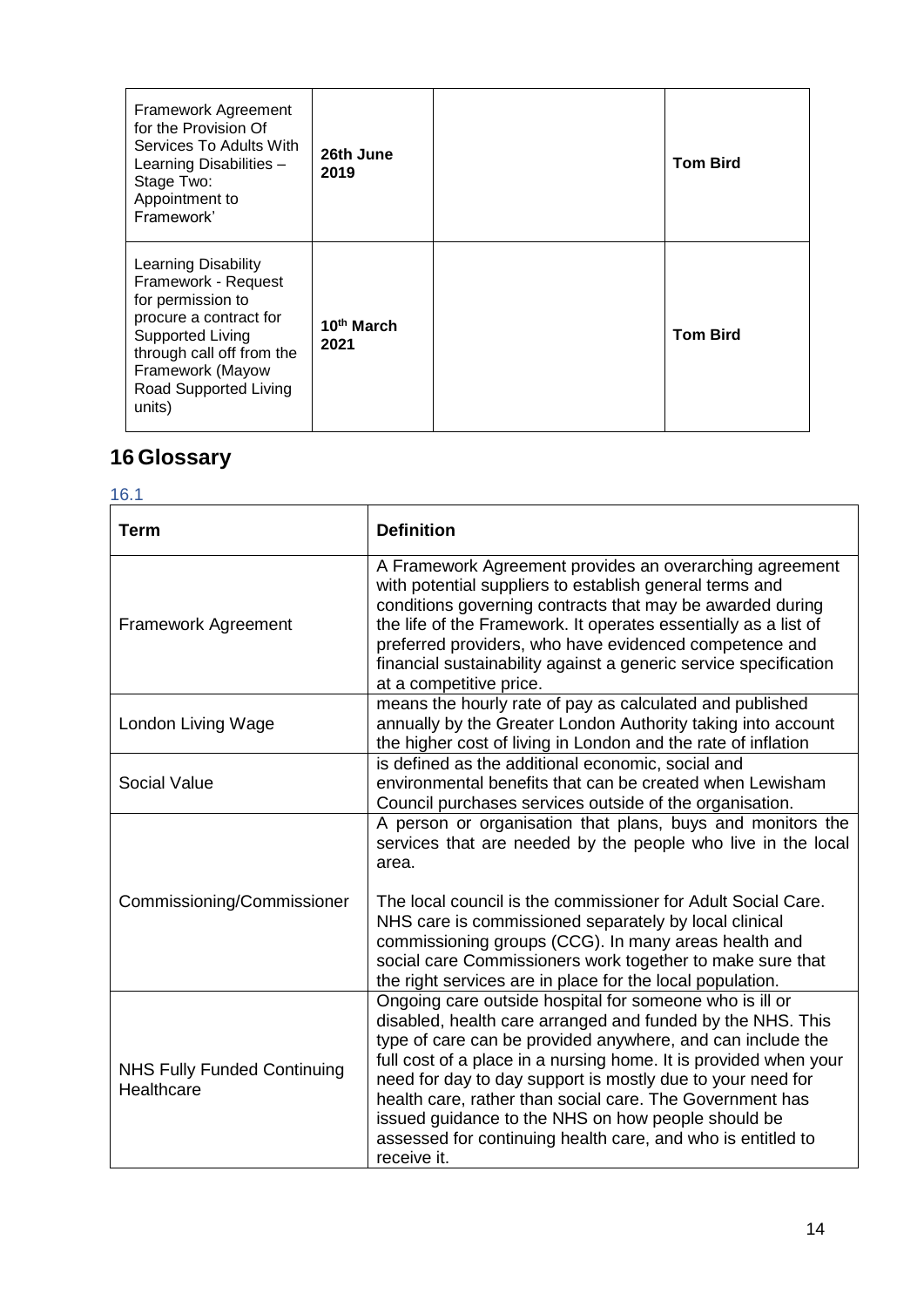| Framework Agreement<br>for the Provision Of<br>Services To Adults With<br>Learning Disabilities -<br>Stage Two:<br>Appointment to<br>Framework'                                                          | 26th June<br>2019              | <b>Tom Bird</b> |
|----------------------------------------------------------------------------------------------------------------------------------------------------------------------------------------------------------|--------------------------------|-----------------|
| <b>Learning Disability</b><br>Framework - Request<br>for permission to<br>procure a contract for<br>Supported Living<br>through call off from the<br>Framework (Mayow<br>Road Supported Living<br>units) | 10 <sup>th</sup> March<br>2021 | <b>Tom Bird</b> |

# **16 Glossary**

| ۰. | ×.<br>v       | ۰. |
|----|---------------|----|
|    | I<br>۰.<br>M. |    |

| Term                                             | <b>Definition</b>                                                                                                                                                                                                                                                                                                                                                                                                                                                                                                     |
|--------------------------------------------------|-----------------------------------------------------------------------------------------------------------------------------------------------------------------------------------------------------------------------------------------------------------------------------------------------------------------------------------------------------------------------------------------------------------------------------------------------------------------------------------------------------------------------|
| <b>Framework Agreement</b>                       | A Framework Agreement provides an overarching agreement<br>with potential suppliers to establish general terms and<br>conditions governing contracts that may be awarded during<br>the life of the Framework. It operates essentially as a list of<br>preferred providers, who have evidenced competence and<br>financial sustainability against a generic service specification<br>at a competitive price.                                                                                                           |
| London Living Wage                               | means the hourly rate of pay as calculated and published<br>annually by the Greater London Authority taking into account<br>the higher cost of living in London and the rate of inflation                                                                                                                                                                                                                                                                                                                             |
| Social Value                                     | is defined as the additional economic, social and<br>environmental benefits that can be created when Lewisham<br>Council purchases services outside of the organisation.                                                                                                                                                                                                                                                                                                                                              |
| Commissioning/Commissioner                       | A person or organisation that plans, buys and monitors the<br>services that are needed by the people who live in the local<br>area.<br>The local council is the commissioner for Adult Social Care.<br>NHS care is commissioned separately by local clinical<br>commissioning groups (CCG). In many areas health and<br>social care Commissioners work together to make sure that<br>the right services are in place for the local population.                                                                        |
| <b>NHS Fully Funded Continuing</b><br>Healthcare | Ongoing care outside hospital for someone who is ill or<br>disabled, health care arranged and funded by the NHS. This<br>type of care can be provided anywhere, and can include the<br>full cost of a place in a nursing home. It is provided when your<br>need for day to day support is mostly due to your need for<br>health care, rather than social care. The Government has<br>issued guidance to the NHS on how people should be<br>assessed for continuing health care, and who is entitled to<br>receive it. |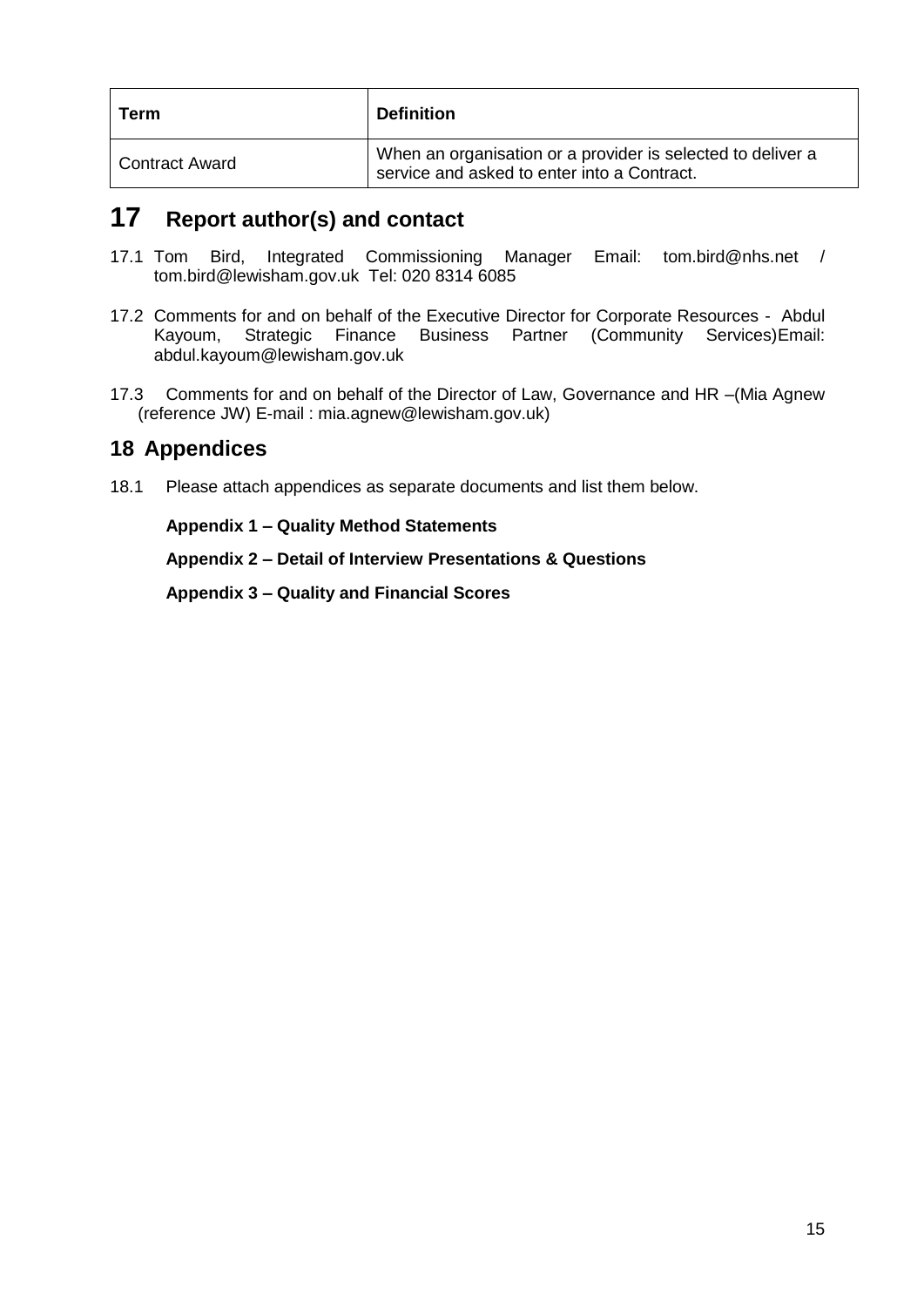| Term             | <b>Definition</b>                                                                                          |
|------------------|------------------------------------------------------------------------------------------------------------|
| l Contract Award | When an organisation or a provider is selected to deliver a<br>service and asked to enter into a Contract. |

## **17 Report author(s) and contact**

- 17.1 Tom Bird, Integrated Commissioning Manager Email: [tom.bird@nhs.net](mailto:tom.bird@nhs.net) / [tom.bird@lewisham.gov.uk](mailto:tom.bird@lewisham.gov.uk) Tel: 020 8314 6085
- 17.2 Comments for and on behalf of the Executive Director for Corporate Resources Abdul Kayoum, Strategic Finance Business Partner (Community Services)Email: [abdul.kayoum@lewisham.gov.uk](mailto:abdul.kayoum@lewisham.gov.uk)
- 17.3 Comments for and on behalf of the Director of Law, Governance and HR –(Mia Agnew (reference JW) E-mail : mia.agnew@lewisham.gov.uk)

#### **18 Appendices**

18.1 Please attach appendices as separate documents and list them below.

**Appendix 1 – Quality Method Statements**

**Appendix 2 – Detail of Interview Presentations & Questions**

**Appendix 3 – Quality and Financial Scores**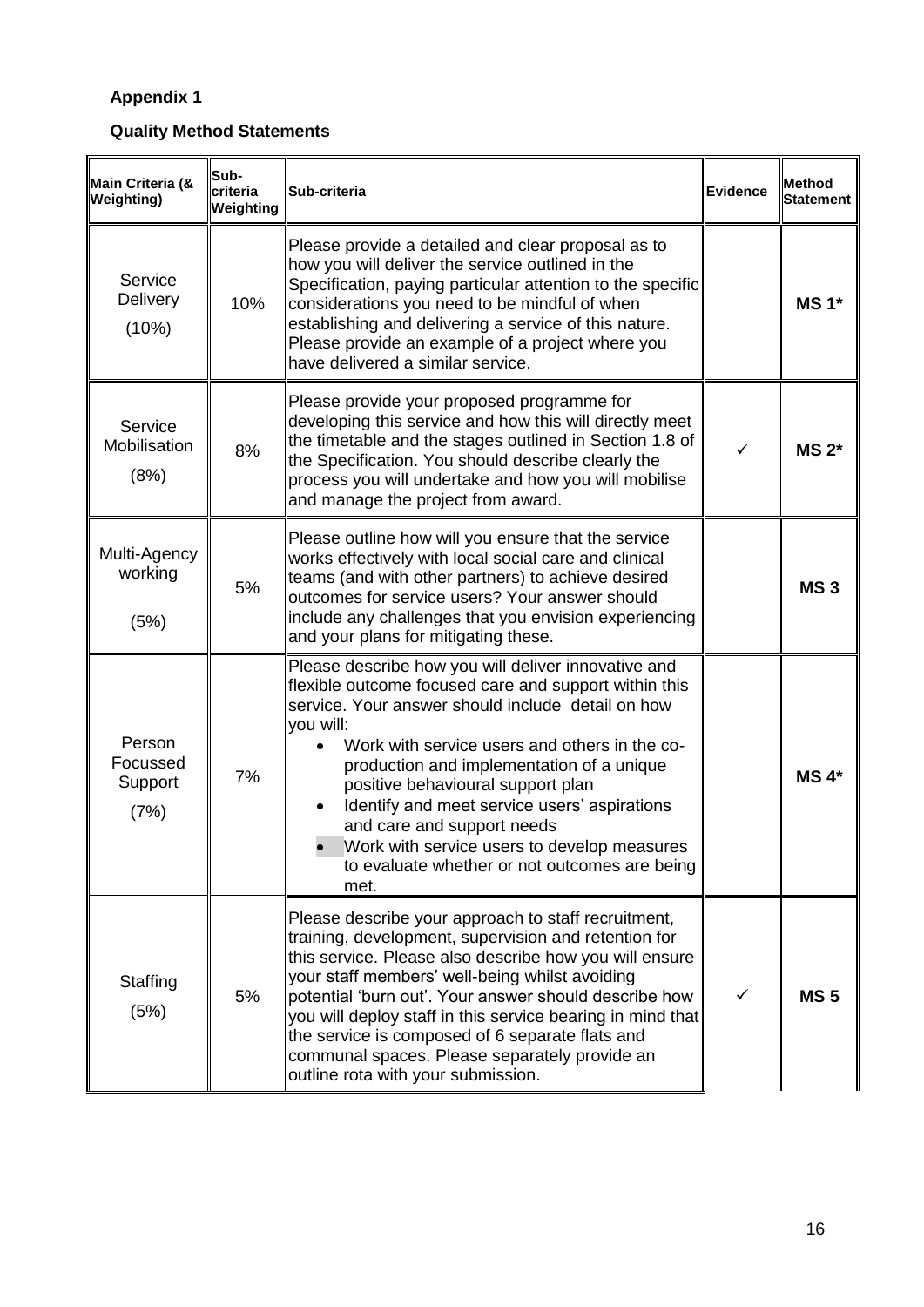## **Appendix 1**

**Quality Method Statements**

| Main Criteria (&<br><b>Weighting)</b> | Sub-<br>criteria<br>Weighting | Sub-criteria                                                                                                                                                                                                                                                                                                                                                                                                                                                                                            | Evidence     | <b>Method</b><br>Statement |
|---------------------------------------|-------------------------------|---------------------------------------------------------------------------------------------------------------------------------------------------------------------------------------------------------------------------------------------------------------------------------------------------------------------------------------------------------------------------------------------------------------------------------------------------------------------------------------------------------|--------------|----------------------------|
| Service<br><b>Delivery</b><br>(10%)   | 10%                           | Please provide a detailed and clear proposal as to<br>how you will deliver the service outlined in the<br>Specification, paying particular attention to the specific<br>considerations you need to be mindful of when<br>establishing and delivering a service of this nature.<br>Please provide an example of a project where you<br>have delivered a similar service.                                                                                                                                 |              | $MS 1*$                    |
| Service<br>Mobilisation<br>(8%)       | 8%                            | Please provide your proposed programme for<br>developing this service and how this will directly meet<br>the timetable and the stages outlined in Section 1.8 of<br>the Specification. You should describe clearly the<br>process you will undertake and how you will mobilise<br>and manage the project from award.                                                                                                                                                                                    | ✓            | $MS 2*$                    |
| Multi-Agency<br>working<br>(5%)       | 5%                            | Please outline how will you ensure that the service<br>works effectively with local social care and clinical<br>teams (and with other partners) to achieve desired<br>outcomes for service users? Your answer should<br>include any challenges that you envision experiencing<br>and your plans for mitigating these.                                                                                                                                                                                   |              | <b>MS3</b>                 |
| Person<br>Focussed<br>Support<br>(7%) | 7%                            | Please describe how you will deliver innovative and<br>flexible outcome focused care and support within this<br>service. Your answer should include detail on how<br>you will:<br>Work with service users and others in the co-<br>production and implementation of a unique<br>positive behavioural support plan<br>Identify and meet service users' aspirations<br>and care and support needs<br>Work with service users to develop measures<br>to evaluate whether or not outcomes are being<br>met. |              | $MS 4*$                    |
| Staffing<br>(5%)                      | 5%                            | Please describe your approach to staff recruitment,<br>training, development, supervision and retention for<br>this service. Please also describe how you will ensure<br>your staff members' well-being whilst avoiding<br>potential 'burn out'. Your answer should describe how<br>you will deploy staff in this service bearing in mind that<br>the service is composed of 6 separate flats and<br>communal spaces. Please separately provide an<br>outline rota with your submission.                | $\checkmark$ | <b>MS5</b>                 |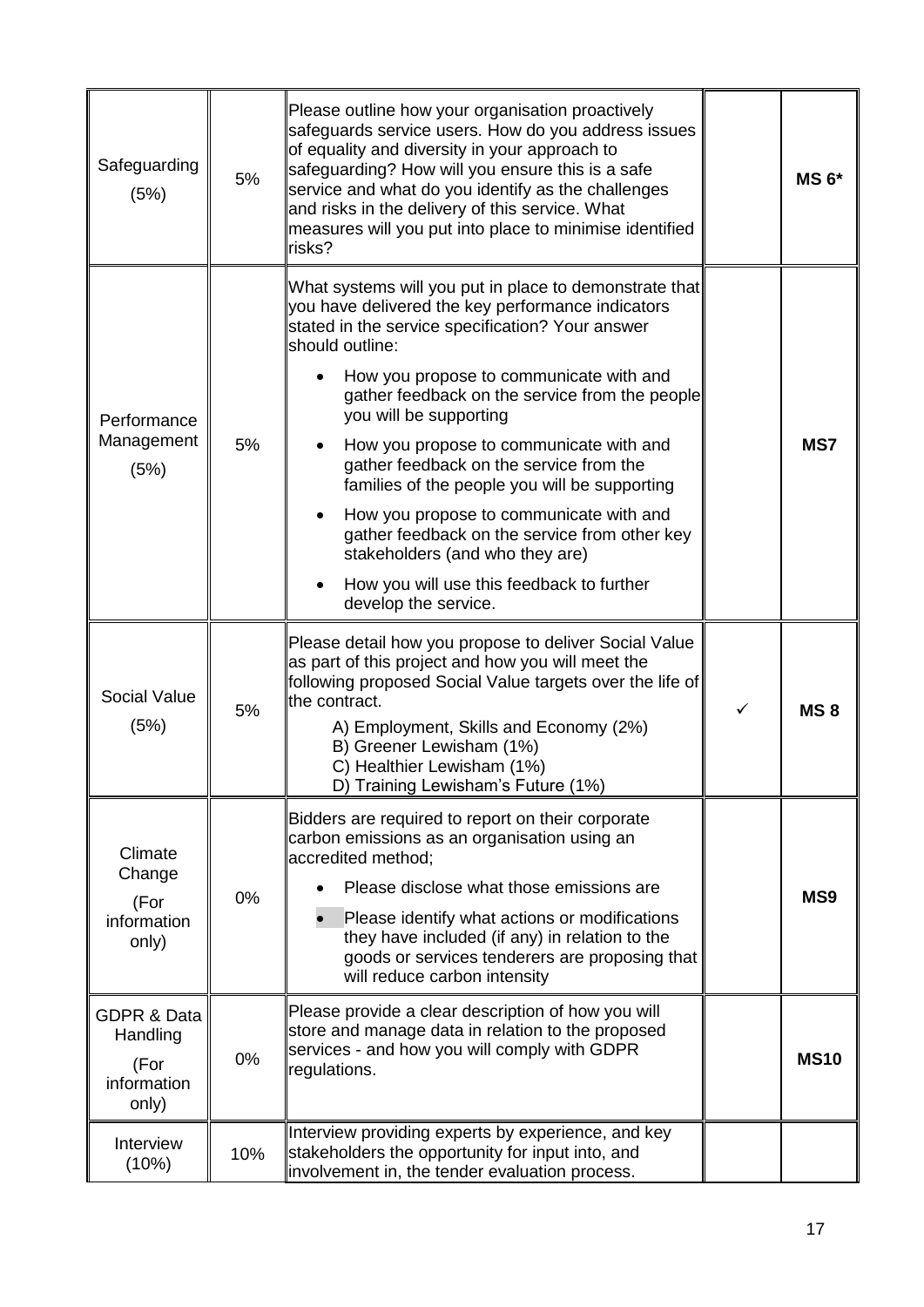| Safeguarding<br>(5%)                                               | 5%  | Please outline how your organisation proactively<br>safeguards service users. How do you address issues<br>of equality and diversity in your approach to<br>safeguarding? How will you ensure this is a safe<br>service and what do you identify as the challenges<br>and risks in the delivery of this service. What<br>measures will you put into place to minimise identified<br>risks?                                                                                                                                                                                                                                                           |   | $MS 6*$         |
|--------------------------------------------------------------------|-----|------------------------------------------------------------------------------------------------------------------------------------------------------------------------------------------------------------------------------------------------------------------------------------------------------------------------------------------------------------------------------------------------------------------------------------------------------------------------------------------------------------------------------------------------------------------------------------------------------------------------------------------------------|---|-----------------|
| Performance<br>Management<br>(5%)                                  | 5%  | What systems will you put in place to demonstrate that<br>you have delivered the key performance indicators<br>stated in the service specification? Your answer<br>should outline:<br>How you propose to communicate with and<br>gather feedback on the service from the people<br>you will be supporting<br>How you propose to communicate with and<br>gather feedback on the service from the<br>families of the people you will be supporting<br>How you propose to communicate with and<br>gather feedback on the service from other key<br>stakeholders (and who they are)<br>How you will use this feedback to further<br>develop the service. |   | MS7             |
| Social Value<br>(5%)                                               | 5%  | Please detail how you propose to deliver Social Value<br>as part of this project and how you will meet the<br>following proposed Social Value targets over the life of<br>the contract.<br>A) Employment, Skills and Economy (2%)<br>B) Greener Lewisham (1%)<br>C) Healthier Lewisham (1%)<br>D) Training Lewisham's Future (1%)                                                                                                                                                                                                                                                                                                                    | ✓ | MS <sub>8</sub> |
| Climate<br>Change<br>(For<br>information<br>only)                  | 0%  | Bidders are required to report on their corporate<br>carbon emissions as an organisation using an<br>accredited method;<br>Please disclose what those emissions are<br>Please identify what actions or modifications<br>they have included (if any) in relation to the<br>goods or services tenderers are proposing that<br>will reduce carbon intensity                                                                                                                                                                                                                                                                                             |   | MS <sub>9</sub> |
| <b>GDPR &amp; Data</b><br>Handling<br>(For<br>information<br>only) | 0%  | Please provide a clear description of how you will<br>store and manage data in relation to the proposed<br>services - and how you will comply with GDPR<br>regulations.                                                                                                                                                                                                                                                                                                                                                                                                                                                                              |   | <b>MS10</b>     |
| Interview<br>(10%)                                                 | 10% | Interview providing experts by experience, and key<br>stakeholders the opportunity for input into, and<br>involvement in, the tender evaluation process.                                                                                                                                                                                                                                                                                                                                                                                                                                                                                             |   |                 |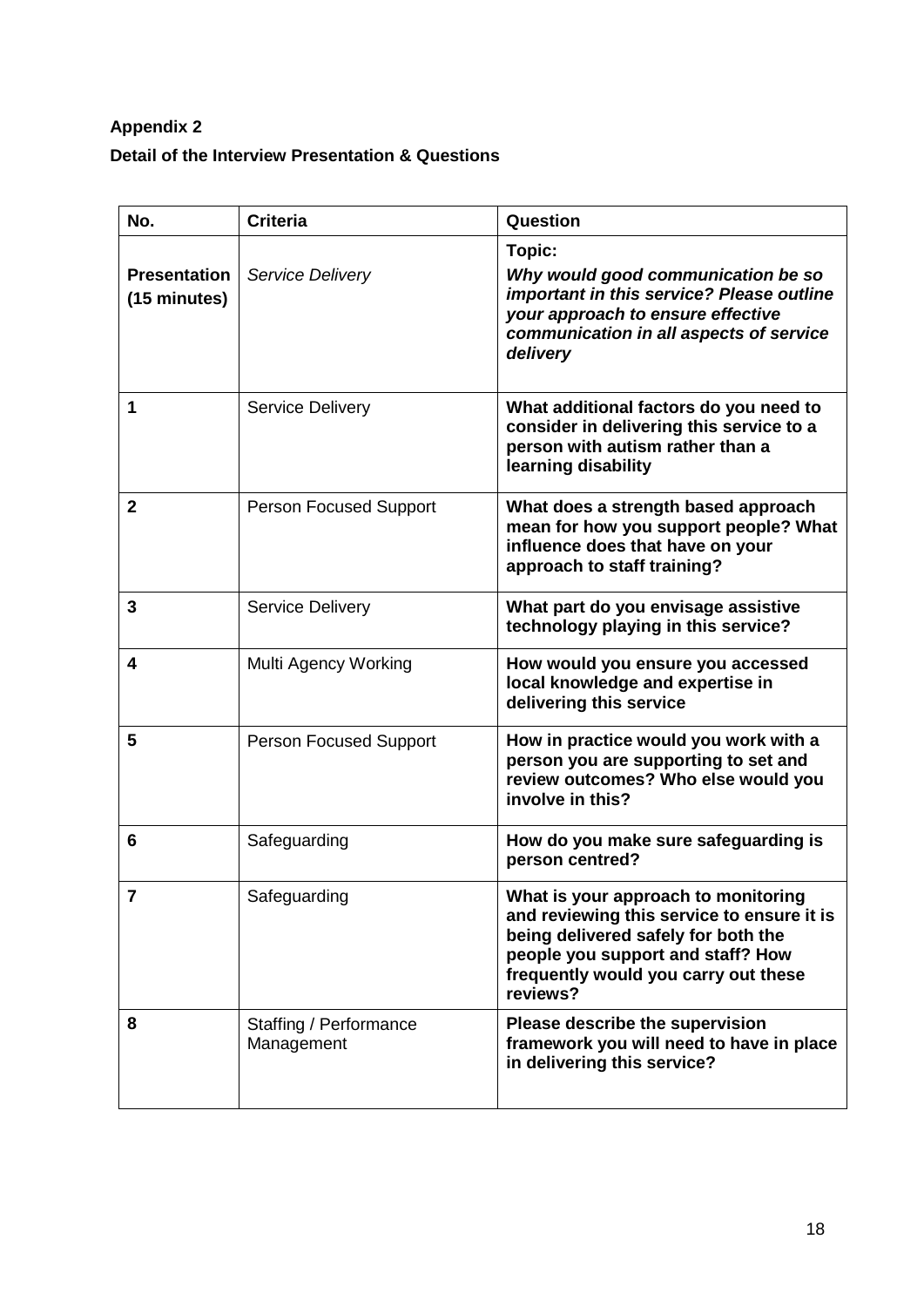## **Appendix 2 Detail of the Interview Presentation & Questions**

| No.                                 | <b>Criteria</b>                      | Question                                                                                                                                                                                                          |
|-------------------------------------|--------------------------------------|-------------------------------------------------------------------------------------------------------------------------------------------------------------------------------------------------------------------|
| <b>Presentation</b><br>(15 minutes) | Service Delivery                     | Topic:<br>Why would good communication be so<br>important in this service? Please outline<br>your approach to ensure effective<br>communication in all aspects of service<br>delivery                             |
| 1                                   | <b>Service Delivery</b>              | What additional factors do you need to<br>consider in delivering this service to a<br>person with autism rather than a<br>learning disability                                                                     |
| $\mathbf{2}$                        | <b>Person Focused Support</b>        | What does a strength based approach<br>mean for how you support people? What<br>influence does that have on your<br>approach to staff training?                                                                   |
| $\mathbf{3}$                        | <b>Service Delivery</b>              | What part do you envisage assistive<br>technology playing in this service?                                                                                                                                        |
| $\overline{\mathbf{4}}$             | Multi Agency Working                 | How would you ensure you accessed<br>local knowledge and expertise in<br>delivering this service                                                                                                                  |
| 5                                   | <b>Person Focused Support</b>        | How in practice would you work with a<br>person you are supporting to set and<br>review outcomes? Who else would you<br>involve in this?                                                                          |
| 6                                   | Safeguarding                         | How do you make sure safeguarding is<br>person centred?                                                                                                                                                           |
| 7                                   | Safeguarding                         | What is your approach to monitoring<br>and reviewing this service to ensure it is<br>being delivered safely for both the<br>people you support and staff? How<br>frequently would you carry out these<br>reviews? |
| 8                                   | Staffing / Performance<br>Management | Please describe the supervision<br>framework you will need to have in place<br>in delivering this service?                                                                                                        |